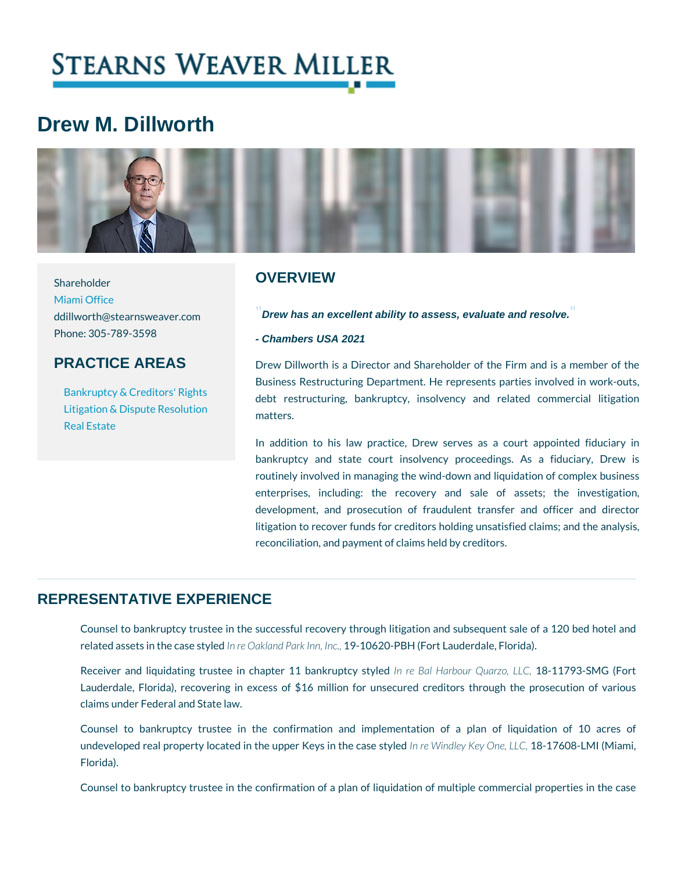# Drew M. Dillworth

| <b>OVERVIEW</b><br>Shareholder<br>Miami Office<br>d dill w orth @ stearnsweaver.cDrew has an excellent ability to assess, evaluate and resolve.<br>Phone: 305-789-3598<br>- Chambers USA 2021<br><b>PRACTICE AREAS</b><br>Drew Dillworth is a Director and Shareholder of the<br>Business Restructuring Department. He represents pa<br>Bankruptcy & Creditors' Rights restructuring, bankruptcy, insolvency and re<br>Litigation & Dispute Resolutions.<br>Real Estate<br>In addition to his law practice, Drew serves as a<br>bankruptcy and state court insolvency proceeding<br>routinely involved in managing the wind-down and liqu<br>enterprises, including: the recovery and sale<br>development, and prosecution of fraudulent transfe<br>litigation to recover funds for creditors holding unsati<br>reconciliation, and payment of claims held by creditors |  |
|-------------------------------------------------------------------------------------------------------------------------------------------------------------------------------------------------------------------------------------------------------------------------------------------------------------------------------------------------------------------------------------------------------------------------------------------------------------------------------------------------------------------------------------------------------------------------------------------------------------------------------------------------------------------------------------------------------------------------------------------------------------------------------------------------------------------------------------------------------------------------|--|
|                                                                                                                                                                                                                                                                                                                                                                                                                                                                                                                                                                                                                                                                                                                                                                                                                                                                         |  |
|                                                                                                                                                                                                                                                                                                                                                                                                                                                                                                                                                                                                                                                                                                                                                                                                                                                                         |  |

## REPRESENTATIVE EXPERIENCE

Counsel to bankruptcy trustee in the successful recovery through litigation a related assets in then cræseDasktyalend Pat 9k 110n6n2, OI-nPcBH (Fort Lauderdale, Florida).

Receiver and liquidating trustee in chapter 11 Babahkaruptucry 108ut plihe 7d9,3-LSLNCG (Forthermore and Lauderdale, Florida), recovering in excess of \$16 million for unsecured c claims under Federal and State law.

Counsel to bankruptcy trustee in the confirmation and implementation undeveloped real property located in the up| pereK\&y insidineyth Keely8aOs ne 6 \$Diay-LLeOMz, I (Mia Florida).

Counsel to bankruptcy trustee in the confirmation of a plan of liquidation of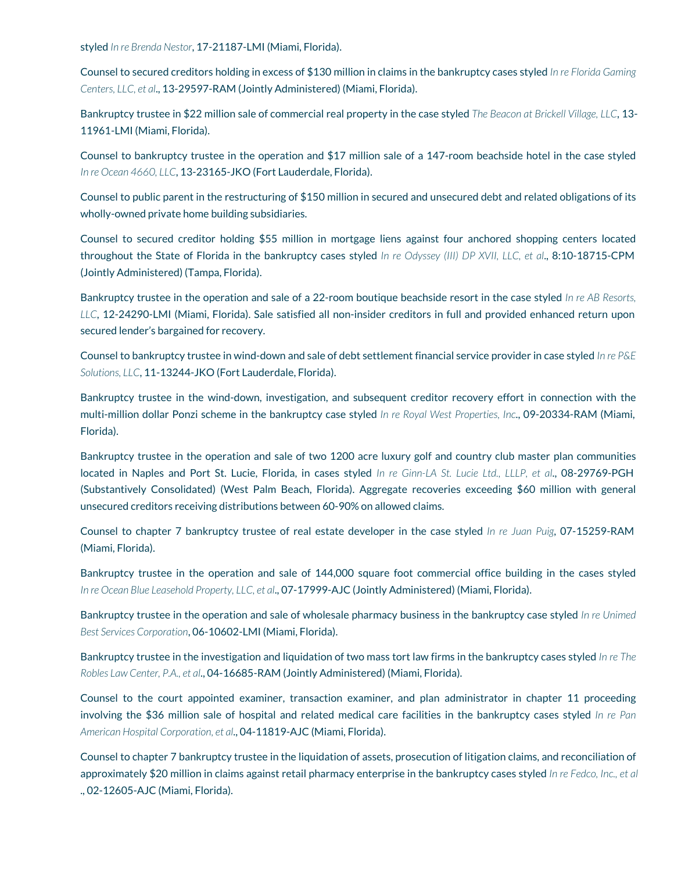styled *In re Brenda Nestor*, 17-21187-LMI (Miami, Florida).

Counsel to secured creditors holding in excess of \$130 million in claims in the bankruptcy cases styled *In re Florida Gaming Centers, LLC, et al*., 13-29597-RAM (Jointly Administered) (Miami, Florida).

Bankruptcy trustee in \$22 million sale of commercial real property in the case styled *The Beacon at Brickell Village, LLC*, 13- 11961-LMI (Miami, Florida).

Counsel to bankruptcy trustee in the operation and \$17 million sale of a 147-room beachside hotel in the case styled *In re Ocean 4660, LLC*, 13-23165-JKO (Fort Lauderdale, Florida).

Counsel to public parent in the restructuring of \$150 million in secured and unsecured debt and related obligations of its wholly-owned private home building subsidiaries.

Counsel to secured creditor holding \$55 million in mortgage liens against four anchored shopping centers located throughout the State of Florida in the bankruptcy cases styled *In re Odyssey (III) DP XVII, LLC, et al*., 8:10-18715-CPM (Jointly Administered) (Tampa, Florida).

Bankruptcy trustee in the operation and sale of a 22-room boutique beachside resort in the case styled *In re AB Resorts, LLC*, 12-24290-LMI (Miami, Florida). Sale satisfied all non-insider creditors in full and provided enhanced return upon secured lender's bargained for recovery.

Counsel to bankruptcy trustee in wind-down and sale of debt settlement financial service provider in case styled *In re P&E Solutions, LLC*, 11-13244-JKO (Fort Lauderdale, Florida).

Bankruptcy trustee in the wind-down, investigation, and subsequent creditor recovery effort in connection with the multi-million dollar Ponzi scheme in the bankruptcy case styled *In re Royal West Properties, Inc*., 09-20334-RAM (Miami, Florida).

Bankruptcy trustee in the operation and sale of two 1200 acre luxury golf and country club master plan communities located in Naples and Port St. Lucie, Florida, in cases styled *In re Ginn-LA St. Lucie Ltd., LLLP, et al*., 08-29769-PGH (Substantively Consolidated) (West Palm Beach, Florida). Aggregate recoveries exceeding \$60 million with general unsecured creditors receiving distributions between 60-90% on allowed claims.

Counsel to chapter 7 bankruptcy trustee of real estate developer in the case styled *In re Juan Puig*, 07-15259-RAM (Miami, Florida).

Bankruptcy trustee in the operation and sale of 144,000 square foot commercial office building in the cases styled *In re Ocean Blue Leasehold Property, LLC, et al*., 07-17999-AJC (Jointly Administered) (Miami, Florida).

Bankruptcy trustee in the operation and sale of wholesale pharmacy business in the bankruptcy case styled *In re Unimed Best Services Corporation*, 06-10602-LMI (Miami, Florida).

Bankruptcy trustee in the investigation and liquidation of two mass tort law firms in the bankruptcy cases styled *In re The Robles Law Center, P.A., et al*., 04-16685-RAM (Jointly Administered) (Miami, Florida).

Counsel to the court appointed examiner, transaction examiner, and plan administrator in chapter 11 proceeding involving the \$36 million sale of hospital and related medical care facilities in the bankruptcy cases styled *In re Pan American Hospital Corporation, et al*., 04-11819-AJC (Miami, Florida).

Counsel to chapter 7 bankruptcy trustee in the liquidation of assets, prosecution of litigation claims, and reconciliation of approximately \$20 million in claims against retail pharmacy enterprise in the bankruptcy cases styled *In re Fedco, Inc., et al* ., 02-12605-AJC (Miami, Florida).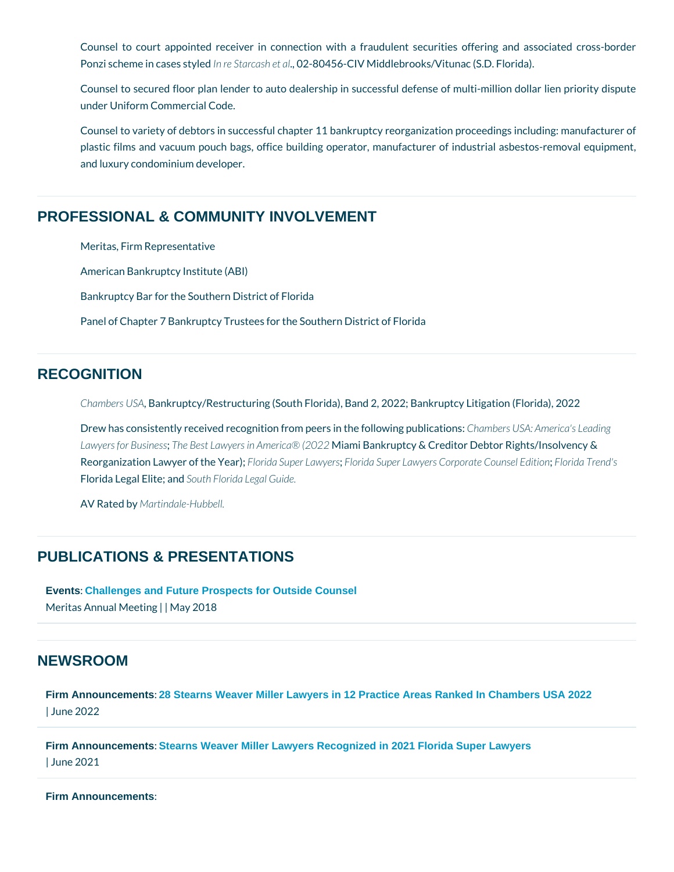Counsel to court appointed receiver in connection with a fraudulent secu Ponzi scheme in clanses Stalred sch2 e& 0al156-CIV Middlebrooks/Vitunac (S.D. Florida

Counsel to secured floor plan lender to auto dealership in successful defens under Uniform Commercial Code.

Counsel to variety of debtors in successful chapter 11 bankruptcy reorganizat plastic films and vacuum pouch bags, office building operator, manufacturer and luxury condominium developer.

#### PROFESSIONAL & COMMUNITY INVOLVEMENT

Meritas, Firm Representative

American Bankruptcy Institute (ABI)

Bankruptcy Bar for the Southern District of Florida

Panel of Chapter 7 Bankruptcy Trustees for the Southern District of Florida

### **RECOGNITION**

Chambers BU Sn Akruptcy/Restructuring (South Florida), Band 2, 2022; Bankruptcy

Drew has consistently received recognition from pe Cinhambers the SIM-o: w Ammge pictaliscal Lawyers for; BlusiBest Lawyers in Ammiamiic B@n(K2rQu2) 2cy & Creditor Debtor Rights/In Reorganization Lawyer Foof rible Super Loarwd a resuper Lawyers Corp: Frlamed en Turres red's Florida Legal **Shiuth Fridrida** Legal Guide.

AV Rated Maytindale-Hubbell.

#### PUBLICATIONS & PRESENTATIONS

[Events](/blog/category/events/) [: Challenges and Future Prospects for Outside Counsel](https://meritaslaw.eventsair.com/QuickEventWebsitePortal/2018-meritas-annual-meeting/info/ExtraContent/ContentPage?page=5) Meritas Annual | M Metyin 20018

## NEWSROOM

[Firm Announcements](/blog/category/firm-announcements/) [: 28 Stearns Weaver Miller Lawyers in 12 Practice Areas Ranked In Chambers USA 2022](https://www.stearnsweaver.com/files/Stearns Weaver Miller Chambers 2022_2.pdf) | June 2022

[Firm Announcements](/blog/category/firm-announcements/) [: Stearns Weaver Miller Lawyers Recognized in 2021 Florida Super Lawyers](https://www.stearnsweaver.com/files/Stearns Weaver Miller Lawyers Recognized in 2021 Florida Super Lawyers.pdf) | June 2021

[Firm Announcements](/blog/category/firm-announcements/) :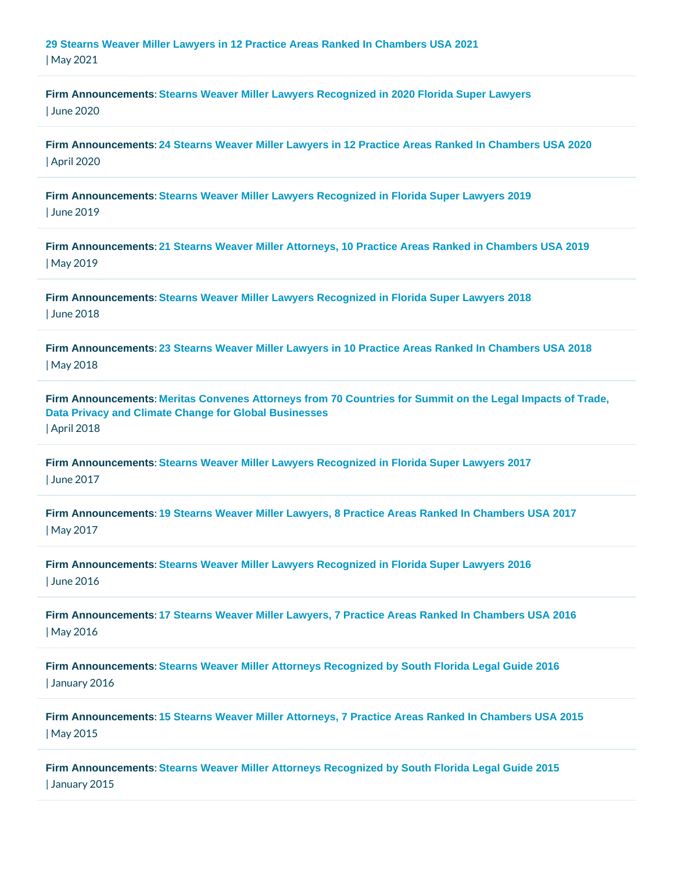| May 2021                               | 29 Stearns Weaver Miller Lawyers in 12 Practice Areas Ranked In Chambers USA 2021                                                                 |
|----------------------------------------|---------------------------------------------------------------------------------------------------------------------------------------------------|
| Firm Announcements<br><b>June 2020</b> | Stearns Weaver Miller Lawyers Recognized in 2020 Florida Super Lawyers                                                                            |
| Firm Announcements<br>April 2020       | 24 Stearns Weaver Miller Lawyers in 12 Practice Areas Ranked In Chambers USA 2020                                                                 |
| Firm Announcements<br>June 2019        | Stearns Weaver Miller Lawyers Recognized in Florida Super Lawyers 2019                                                                            |
| May 2019                               | Firm Announcements 21 Stearns Weaver Miller Attorneys, 10 Practice Areas Ranked in Chambers USA 2019                                              |
| Firm Announcements<br>June 2018        | Stearns Weaver Miller Lawyers Recognized in Florida Super Lawyers 2018                                                                            |
| May 2018                               | Firm Announcements 23 Stearns Weaver Miller Lawyers in 10 Practice Areas Ranked In Chambers USA 2018                                              |
| Firm Announcements<br>April 2018       | : Meritas Convenes Attorneys from 70 Countries for Summit on the Legal Impacts of Trade,<br>Data Privacy and Climate Change for Global Businesses |
| Firm Announcements<br>June 2017        | Stearns Weaver Miller Lawyers Recognized in Florida Super Lawyers 2017                                                                            |
| May 2017                               | Firm Announcements :19 Stearns Weaver Miller Lawyers, 8 Practice Areas Ranked In Chambers USA 2017                                                |
| Firm Announcements<br>June 2016        | Stearns Weaver Miller Lawyers Recognized in Florida Super Lawyers 2016                                                                            |
| Firm Announcements<br>May 2016         | :17 Stearns Weaver Miller Lawyers, 7 Practice Areas Ranked In Chambers USA 2016                                                                   |
| January 2016                           | Firm Announcements :Stearns Weaver Miller Attorneys Recognized by South Florida Legal Guide 2016                                                  |
| May 2015                               | Firm Announcements :15 Stearns Weaver Miller Attorneys, 7 Practice Areas Ranked In Chambers USA 2015                                              |
| January 2015                           | Firm Announcements :Stearns Weaver Miller Attorneys Recognized by South Florida Legal Guide 2015                                                  |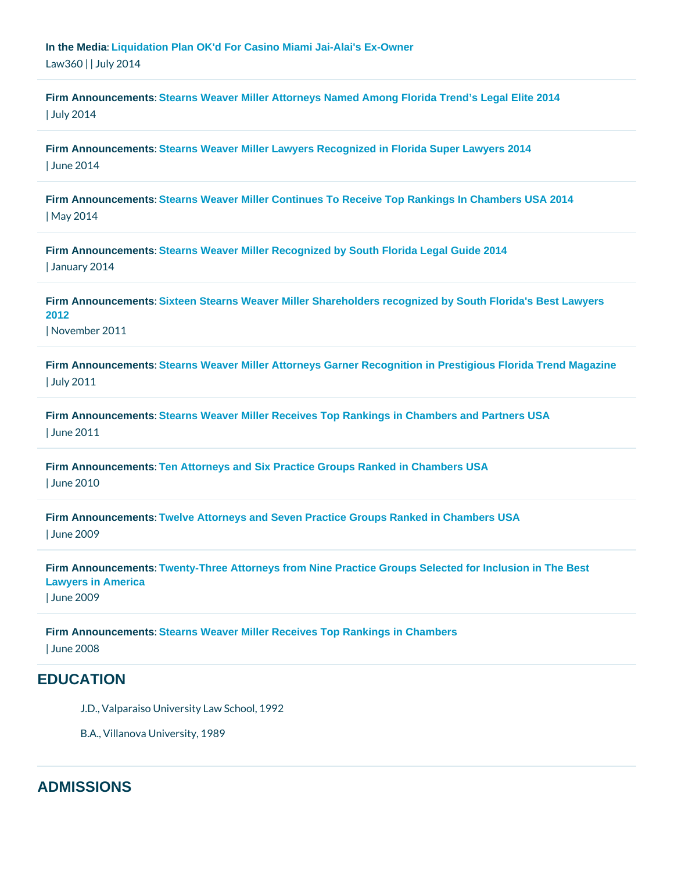[In the Media](/blog/category/in-the-media/) [: Liquidation Plan OK'd For Casino Miami Jai-Alai's Ex-Owner](http://www.law360.com/articles/558691/liquidation-plan-ok-d-for-casino-miami-jai-alai-s-ex-owner) Law 360 July 2014

[Firm Announcements](/blog/category/firm-announcements/) [: Stearns Weaver Miller Attorneys Named Among Florida Trend's Legal Elite 2014](http://www.stearnsweaver.com/files/2014 Stearns Weaver Miller Attorneys Named Among Florida Trend’s Legal Elite.pdf) | July 2014

[Firm Announcements](/blog/category/firm-announcements/) [: Stearns Weaver Miller Lawyers Recognized in Florida Super Lawyers 2014](http://www.stearnsweaver.com/files/Stearns Weaver Miller Lawyers Recognized in Florida Super Lawyers 2014.pdf) | June 2014

[Firm Announcements](/blog/category/firm-announcements/) [: Stearns Weaver Miller Continues To Receive Top Rankings In Chambers USA 2014](http://www.stearnsweaver.com/files/Stearns Weaver Miller Continues To Receive Top Rankings In Chambers USA 2014.pdf) | May 2014

[Firm Announcements](/blog/category/firm-announcements/) [: Stearns Weaver Miller Recognized by South Florida Legal Guide 2014](http://www.stearnsweaver.com/files/Stearns Weaver Miller Recognized by South Florida Legal Guide 2014.pdf) | January 2014

[Firm Announcements](/blog/category/firm-announcements/) [: Sixteen Stearns Weaver Miller Shareholders recognized by South Florida's Best Lawyers](/files/SFL BEST LAWYERS-- November 2011.pdf)  [2012](/files/SFL BEST LAWYERS-- November 2011.pdf)  | November 2011

[Firm Announcements](/blog/category/firm-announcements/) [: Stearns Weaver Miller Attorneys Garner Recognition in Prestigious Florida Trend Magazine](/files/LegalElite --July2011.pdf)  | July 2011

[Firm Announcements](/blog/category/firm-announcements/) [: Stearns Weaver Miller Receives Top Rankings in Chambers and Partners USA](/files/Chambers June2011.pdf)  | June 2011

[Firm Announcements](/blog/category/firm-announcements/) [: Ten Attorneys and Six Practice Groups Ranked in Chambers USA](/files/Chambers 2010 -- June 2010.pdf)  | June 2010

[Firm Announcements](/blog/category/firm-announcements/) [: Twelve Attorneys and Seven Practice Groups Ranked in Chambers USA](/files/Chamber 2009 - June 2009 No Tier.pdf)  | June 2009

[Firm Announcements](/blog/category/firm-announcements/) [: Twenty-Three Attorneys from Nine Practice Groups Selected for Inclusion in The Best](/files/2010twentythreeattorneysselectedforinclusionbestlawyersinamerica.pdf)  [Lawyers in America](/files/2010twentythreeattorneysselectedforinclusionbestlawyersinamerica.pdf)  | June 2009

[Firm Announcements](/blog/category/firm-announcements/) [: Stearns Weaver Miller Receives Top Rankings in Chambers](/files/2008chambersandpartnersusa.pdf) 

| June 2008

## EDUCATION

J.D., Valparaiso University Law School, 1992

B.A., Villanova University, 1989

## ADMISSIONS